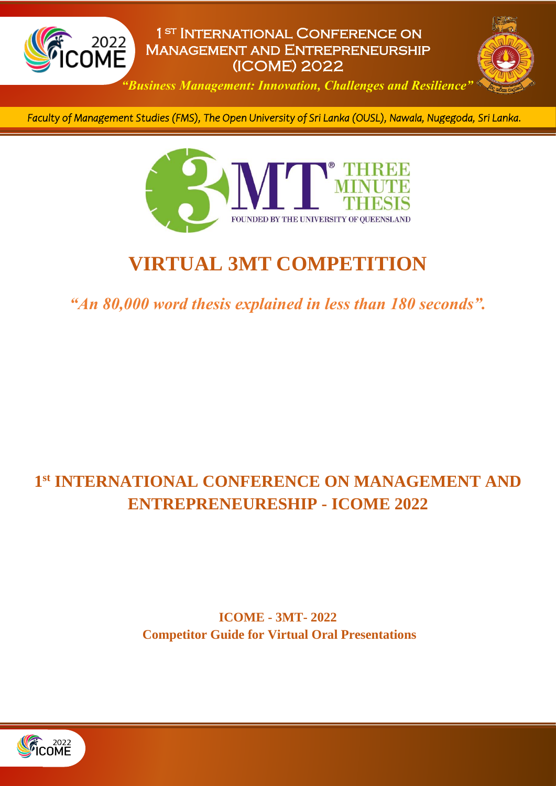



*"Business Management: Innovation, Challenges and Resilience"*

*Faculty of Management Studies (FMS), The Open University of Sri Lanka (OUSL), Nawala, Nugegoda, Sri Lanka.* 



# **VIRTUAL 3MT COMPETITION**

*"An 80,000 word thesis explained in less than 180 seconds".*

## **1 st INTERNATIONAL CONFERENCE ON MANAGEMENT AND ENTREPRENEURESHIP - ICOME 2022**

**ICOME - 3MT- 2022 Competitor Guide for Virtual Oral Presentations**

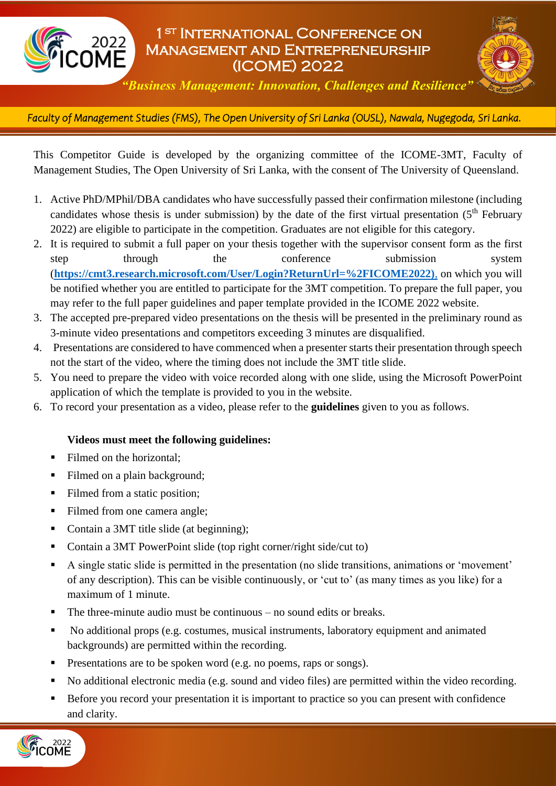



*"Business Management: Innovation, Challenges and Resilience"*

*Faculty of Management Studies (FMS), The Open University of Sri Lanka (OUSL), Nawala, Nugegoda, Sri Lanka.*  l

This Competitor Guide is developed by the organizing committee of the ICOME-3MT, Faculty of Management Studies, The Open University of Sri Lanka, with the consent of The University of Queensland.

- 1. Active PhD/MPhil/DBA candidates who have successfully passed their confirmation milestone (including candidates whose thesis is under submission) by the date of the first virtual presentation  $(5<sup>th</sup>$  February 2022) are eligible to participate in the competition. Graduates are not eligible for this category.
- 2. It is required to submit a full paper on your thesis together with the supervisor consent form as the first step through the conference submission system (**[https://cmt3.research.microsoft.com/User/Login?ReturnUrl=%2FICOME2022\)](https://cmt3.research.microsoft.com/User/Login?ReturnUrl=%2FICOME2022),%20)**, on which you will be notified whether you are entitled to participate for the 3MT competition. To prepare the full paper, you may refer to the full paper guidelines and paper template provided in the ICOME 2022 website.
- 3. The accepted pre-prepared video presentations on the thesis will be presented in the preliminary round as 3-minute video presentations and competitors exceeding 3 minutes are disqualified.
- 4. Presentations are considered to have commenced when a presenter starts their presentation through speech not the start of the video, where the timing does not include the 3MT title slide.
- 5. You need to prepare the video with voice recorded along with one slide, using the Microsoft PowerPoint application of which the template is provided to you in the website.
- 6. To record your presentation as a video, please refer to the **guidelines** given to you as follows.

#### **Videos must meet the following guidelines:**

- Filmed on the horizontal:
- Filmed on a plain background;
- Filmed from a static position;
- Filmed from one camera angle;
- Contain a 3MT title slide (at beginning);
- Contain a 3MT PowerPoint slide (top right corner/right side/cut to)
- A single static slide is permitted in the presentation (no slide transitions, animations or 'movement' of any description). This can be visible continuously, or 'cut to' (as many times as you like) for a maximum of 1 minute.
- The three-minute audio must be continuous no sound edits or breaks.
- No additional props (e.g. costumes, musical instruments, laboratory equipment and animated backgrounds) are permitted within the recording.
- Presentations are to be spoken word (e.g. no poems, raps or songs).
- No additional electronic media (e.g. sound and video files) are permitted within the video recording.
- Before you record your presentation it is important to practice so you can present with confidence and clarity.

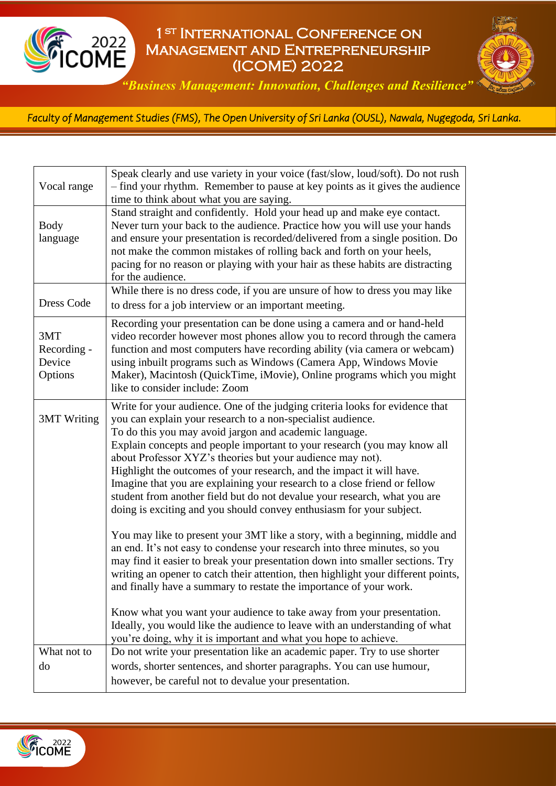



*"Business Management: Innovation, Challenges and Resilience"*

*Faculty of Management Studies (FMS), The Open University of Sri Lanka (OUSL), Nawala, Nugegoda, Sri Lanka.*  l

| Vocal range                             | Speak clearly and use variety in your voice (fast/slow, loud/soft). Do not rush<br>- find your rhythm. Remember to pause at key points as it gives the audience<br>time to think about what you are saying.                                                                                                                                                                                                                                                                                                                                                                                                                                                                                                                                                                                                                                                                                                                                                                                                                                                                                                                                                                                                                                                                                    |
|-----------------------------------------|------------------------------------------------------------------------------------------------------------------------------------------------------------------------------------------------------------------------------------------------------------------------------------------------------------------------------------------------------------------------------------------------------------------------------------------------------------------------------------------------------------------------------------------------------------------------------------------------------------------------------------------------------------------------------------------------------------------------------------------------------------------------------------------------------------------------------------------------------------------------------------------------------------------------------------------------------------------------------------------------------------------------------------------------------------------------------------------------------------------------------------------------------------------------------------------------------------------------------------------------------------------------------------------------|
| <b>Body</b><br>language                 | Stand straight and confidently. Hold your head up and make eye contact.<br>Never turn your back to the audience. Practice how you will use your hands<br>and ensure your presentation is recorded/delivered from a single position. Do<br>not make the common mistakes of rolling back and forth on your heels,<br>pacing for no reason or playing with your hair as these habits are distracting<br>for the audience.                                                                                                                                                                                                                                                                                                                                                                                                                                                                                                                                                                                                                                                                                                                                                                                                                                                                         |
| <b>Dress Code</b>                       | While there is no dress code, if you are unsure of how to dress you may like<br>to dress for a job interview or an important meeting.                                                                                                                                                                                                                                                                                                                                                                                                                                                                                                                                                                                                                                                                                                                                                                                                                                                                                                                                                                                                                                                                                                                                                          |
| 3MT<br>Recording -<br>Device<br>Options | Recording your presentation can be done using a camera and or hand-held<br>video recorder however most phones allow you to record through the camera<br>function and most computers have recording ability (via camera or webcam)<br>using inbuilt programs such as Windows (Camera App, Windows Movie<br>Maker), Macintosh (QuickTime, iMovie), Online programs which you might<br>like to consider include: Zoom                                                                                                                                                                                                                                                                                                                                                                                                                                                                                                                                                                                                                                                                                                                                                                                                                                                                             |
| <b>3MT</b> Writing                      | Write for your audience. One of the judging criteria looks for evidence that<br>you can explain your research to a non-specialist audience.<br>To do this you may avoid jargon and academic language.<br>Explain concepts and people important to your research (you may know all<br>about Professor XYZ's theories but your audience may not).<br>Highlight the outcomes of your research, and the impact it will have.<br>Imagine that you are explaining your research to a close friend or fellow<br>student from another field but do not devalue your research, what you are<br>doing is exciting and you should convey enthusiasm for your subject.<br>You may like to present your 3MT like a story, with a beginning, middle and<br>an end. It's not easy to condense your research into three minutes, so you<br>may find it easier to break your presentation down into smaller sections. Try<br>writing an opener to catch their attention, then highlight your different points,<br>and finally have a summary to restate the importance of your work.<br>Know what you want your audience to take away from your presentation.<br>Ideally, you would like the audience to leave with an understanding of what<br>you're doing, why it is important and what you hope to achieve. |
| What not to                             | Do not write your presentation like an academic paper. Try to use shorter                                                                                                                                                                                                                                                                                                                                                                                                                                                                                                                                                                                                                                                                                                                                                                                                                                                                                                                                                                                                                                                                                                                                                                                                                      |
| do                                      | words, shorter sentences, and shorter paragraphs. You can use humour,<br>however, be careful not to devalue your presentation.                                                                                                                                                                                                                                                                                                                                                                                                                                                                                                                                                                                                                                                                                                                                                                                                                                                                                                                                                                                                                                                                                                                                                                 |

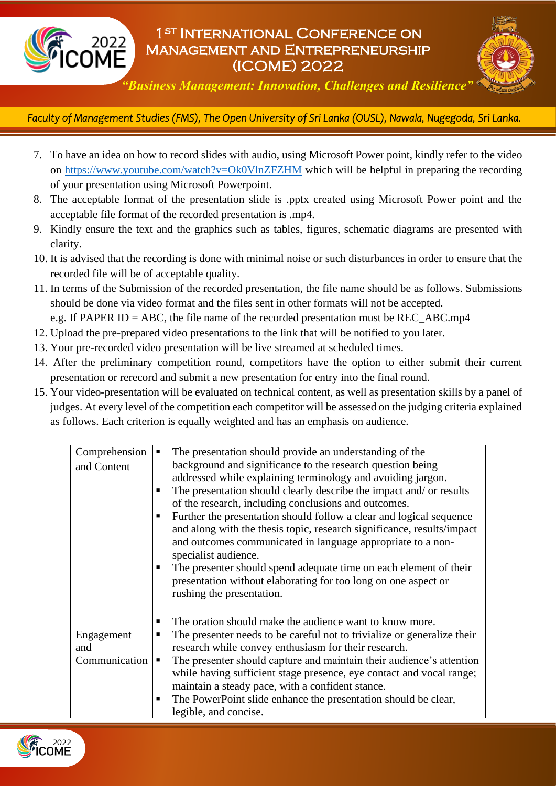



*"Business Management: Innovation, Challenges and Resilience"*

*Faculty of Management Studies (FMS), The Open University of Sri Lanka (OUSL), Nawala, Nugegoda, Sri Lanka.*  l

- 7. To have an idea on how to record slides with audio, using Microsoft Power point, kindly refer to the video on [https://www.youtube.com/watch?v=Ok0VlnZFZHM](https://www.youtube.com/watch?v=Ok0VlnZFZHM%20) which will be helpful in preparing the recording of your presentation using Microsoft Powerpoint.
- 8. The acceptable format of the presentation slide is .pptx created using Microsoft Power point and the acceptable file format of the recorded presentation is .mp4.
- 9. Kindly ensure the text and the graphics such as tables, figures, schematic diagrams are presented with clarity.
- 10. It is advised that the recording is done with minimal noise or such disturbances in order to ensure that the recorded file will be of acceptable quality.
- 11. In terms of the Submission of the recorded presentation, the file name should be as follows. Submissions should be done via video format and the files sent in other formats will not be accepted.

e.g. If PAPER ID = ABC, the file name of the recorded presentation must be REC\_ABC.mp4

- 12. Upload the pre-prepared video presentations to the link that will be notified to you later.
- 13. Your pre-recorded video presentation will be live streamed at scheduled times.
- 14. After the preliminary competition round, competitors have the option to either submit their current presentation or rerecord and submit a new presentation for entry into the final round.
- 15. Your video-presentation will be evaluated on technical content, as well as presentation skills by a panel of judges. At every level of the competition each competitor will be assessed on the judging criteria explained as follows. Each criterion is equally weighted and has an emphasis on audience.

| Comprehension<br>and Content       | The presentation should provide an understanding of the<br>background and significance to the research question being<br>addressed while explaining terminology and avoiding jargon.<br>The presentation should clearly describe the impact and/ or results<br>of the research, including conclusions and outcomes.<br>Further the presentation should follow a clear and logical sequence<br>and along with the thesis topic, research significance, results/impact<br>and outcomes communicated in language appropriate to a non-<br>specialist audience.<br>The presenter should spend adequate time on each element of their<br>presentation without elaborating for too long on one aspect or<br>rushing the presentation. |
|------------------------------------|---------------------------------------------------------------------------------------------------------------------------------------------------------------------------------------------------------------------------------------------------------------------------------------------------------------------------------------------------------------------------------------------------------------------------------------------------------------------------------------------------------------------------------------------------------------------------------------------------------------------------------------------------------------------------------------------------------------------------------|
| Engagement<br>and<br>Communication | The oration should make the audience want to know more.<br>п<br>The presenter needs to be careful not to trivialize or generalize their<br>٠<br>research while convey enthusiasm for their research.<br>The presenter should capture and maintain their audience's attention<br>٠<br>while having sufficient stage presence, eye contact and vocal range;<br>maintain a steady pace, with a confident stance.<br>The PowerPoint slide enhance the presentation should be clear,<br>legible, and concise.                                                                                                                                                                                                                        |